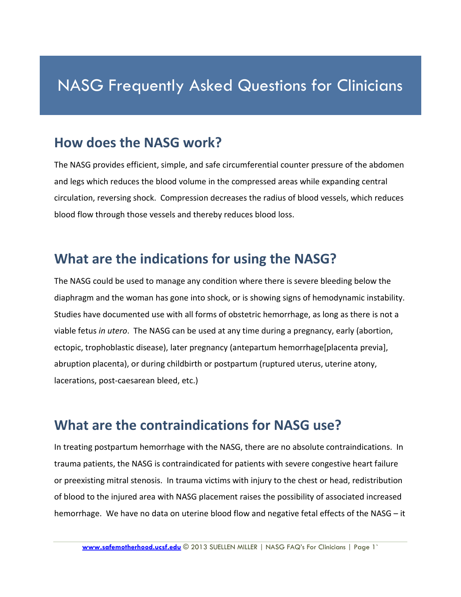# NASG Frequently Asked Questions for Clinicians

#### **How does the NASG work?**

The NASG provides efficient, simple, and safe circumferential counter pressure of the abdomen and legs which reduces the blood volume in the compressed areas while expanding central circulation, reversing shock. Compression decreases the radius of blood vessels, which reduces blood flow through those vessels and thereby reduces blood loss.

#### **What are the indications for using the NASG?**

The NASG could be used to manage any condition where there is severe bleeding below the diaphragm and the woman has gone into shock, or is showing signs of hemodynamic instability. Studies have documented use with all forms of obstetric hemorrhage, as long as there is not a viable fetus *in utero*. The NASG can be used at any time during a pregnancy, early (abortion, ectopic, trophoblastic disease), later pregnancy (antepartum hemorrhage[placenta previa], abruption placenta), or during childbirth or postpartum (ruptured uterus, uterine atony, lacerations, post-caesarean bleed, etc.)

#### **What are the contraindications for NASG use?**

In treating postpartum hemorrhage with the NASG, there are no absolute contraindications. In trauma patients, the NASG is contraindicated for patients with severe congestive heart failure or preexisting mitral stenosis. In trauma victims with injury to the chest or head, redistribution of blood to the injured area with NASG placement raises the possibility of associated increased hemorrhage. We have no data on uterine blood flow and negative fetal effects of the NASG – it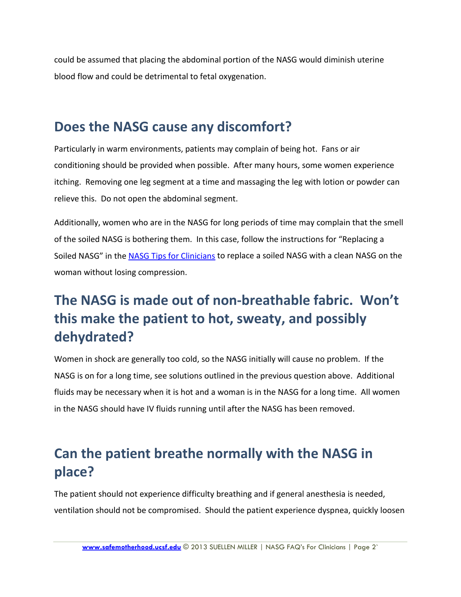could be assumed that placing the abdominal portion of the NASG would diminish uterine blood flow and could be detrimental to fetal oxygenation.

### **Does the NASG cause any discomfort?**

Particularly in warm environments, patients may complain of being hot. Fans or air conditioning should be provided when possible. After many hours, some women experience itching. Removing one leg segment at a time and massaging the leg with lotion or powder can relieve this. Do not open the abdominal segment.

Additionally, women who are in the NASG for long periods of time may complain that the smell of the soiled NASG is bothering them. In this case, follow the instructions for "Replacing a Soiled NASG" in the [NASG Tips for Clinicians](http://www.safemotherhood.ucsf.edu/traininglearningmaterials/#FAQS) to replace a soiled NASG with a clean NASG on the woman without losing compression.

## **The NASG is made out of non-breathable fabric. Won't this make the patient to hot, sweaty, and possibly dehydrated?**

Women in shock are generally too cold, so the NASG initially will cause no problem. If the NASG is on for a long time, see solutions outlined in the previous question above. Additional fluids may be necessary when it is hot and a woman is in the NASG for a long time. All women in the NASG should have IV fluids running until after the NASG has been removed.

## **Can the patient breathe normally with the NASG in place?**

The patient should not experience difficulty breathing and if general anesthesia is needed, ventilation should not be compromised. Should the patient experience dyspnea, quickly loosen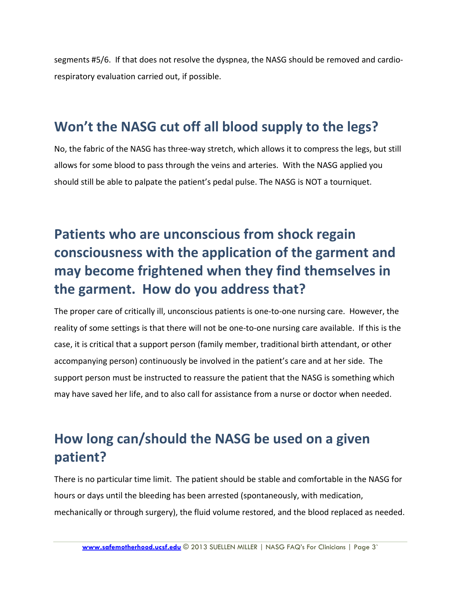segments #5/6. If that does not resolve the dyspnea, the NASG should be removed and cardiorespiratory evaluation carried out, if possible.

### **Won't the NASG cut off all blood supply to the legs?**

No, the fabric of the NASG has three-way stretch, which allows it to compress the legs, but still allows for some blood to pass through the veins and arteries. With the NASG applied you should still be able to palpate the patient's pedal pulse. The NASG is NOT a tourniquet.

# **Patients who are unconscious from shock regain consciousness with the application of the garment and may become frightened when they find themselves in the garment. How do you address that?**

The proper care of critically ill, unconscious patients is one-to-one nursing care. However, the reality of some settings is that there will not be one-to-one nursing care available. If this is the case, it is critical that a support person (family member, traditional birth attendant, or other accompanying person) continuously be involved in the patient's care and at her side. The support person must be instructed to reassure the patient that the NASG is something which may have saved her life, and to also call for assistance from a nurse or doctor when needed.

## **How long can/should the NASG be used on a given patient?**

There is no particular time limit. The patient should be stable and comfortable in the NASG for hours or days until the bleeding has been arrested (spontaneously, with medication, mechanically or through surgery), the fluid volume restored, and the blood replaced as needed.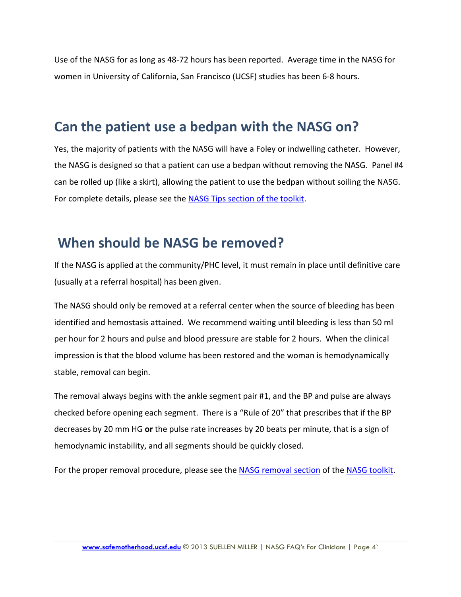Use of the NASG for as long as 48-72 hours has been reported. Average time in the NASG for women in University of California, San Francisco (UCSF) studies has been 6-8 hours.

### **Can the patient use a bedpan with the NASG on?**

Yes, the majority of patients with the NASG will have a Foley or indwelling catheter. However, the NASG is designed so that a patient can use a bedpan without removing the NASG. Panel #4 can be rolled up (like a skirt), allowing the patient to use the bedpan without soiling the NASG. For complete details, please see the [NASG Tips section of the toolkit.](http://www.safemotherhood.ucsf.edu/traininglearningmaterials/#TIPS)

### **When should be NASG be removed?**

If the NASG is applied at the community/PHC level, it must remain in place until definitive care (usually at a referral hospital) has been given.

The NASG should only be removed at a referral center when the source of bleeding has been identified and hemostasis attained. We recommend waiting until bleeding is less than 50 ml per hour for 2 hours and pulse and blood pressure are stable for 2 hours. When the clinical impression is that the blood volume has been restored and the woman is hemodynamically stable, removal can begin.

The removal always begins with the ankle segment pair #1, and the BP and pulse are always checked before opening each segment. There is a "Rule of 20" that prescribes that if the BP decreases by 20 mm HG **or** the pulse rate increases by 20 beats per minute, that is a sign of hemodynamic instability, and all segments should be quickly closed.

For the proper removal procedure, please see the [NASG removal section](http://www.safemotherhood.ucsf.edu/traininglearningmaterials/#TR-FAC) of the [NASG toolkit.](http://www.safemotherhood.ucsf.edu/nasgtoolkit/)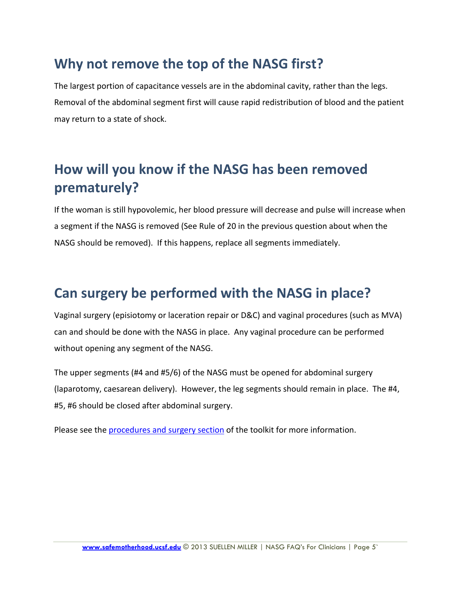### **Why not remove the top of the NASG first?**

The largest portion of capacitance vessels are in the abdominal cavity, rather than the legs. Removal of the abdominal segment first will cause rapid redistribution of blood and the patient may return to a state of shock.

## **How will you know if the NASG has been removed prematurely?**

If the woman is still hypovolemic, her blood pressure will decrease and pulse will increase when a segment if the NASG is removed (See Rule of 20 in the previous question about when the NASG should be removed). If this happens, replace all segments immediately.

### **Can surgery be performed with the NASG in place?**

Vaginal surgery (episiotomy or laceration repair or D&C) and vaginal procedures (such as MVA) can and should be done with the NASG in place. Any vaginal procedure can be performed without opening any segment of the NASG.

The upper segments (#4 and #5/6) of the NASG must be opened for abdominal surgery (laparotomy, caesarean delivery). However, the leg segments should remain in place. The #4, #5, #6 should be closed after abdominal surgery.

Please see the [procedures and surgery section](http://www.safemotherhood.ucsf.edu/traininglearningmaterials/#TR-FAC) of the toolkit for more information.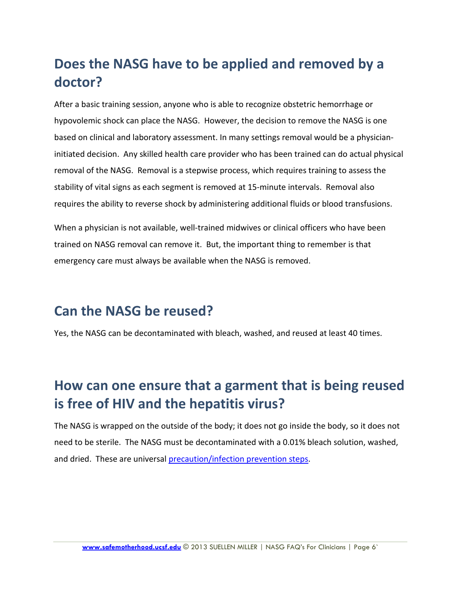## **Does the NASG have to be applied and removed by a doctor?**

After a basic training session, anyone who is able to recognize obstetric hemorrhage or hypovolemic shock can place the NASG. However, the decision to remove the NASG is one based on clinical and laboratory assessment. In many settings removal would be a physicianinitiated decision. Any skilled health care provider who has been trained can do actual physical removal of the NASG. Removal is a stepwise process, which requires training to assess the stability of vital signs as each segment is removed at 15-minute intervals. Removal also requires the ability to reverse shock by administering additional fluids or blood transfusions.

When a physician is not available, well-trained midwives or clinical officers who have been trained on NASG removal can remove it. But, the important thing to remember is that emergency care must always be available when the NASG is removed.

### **Can the NASG be reused?**

Yes, the NASG can be decontaminated with bleach, washed, and reused at least 40 times.

## **How can one ensure that a garment that is being reused is free of HIV and the hepatitis virus?**

The NASG is wrapped on the outside of the body; it does not go inside the body, so it does not need to be sterile. The NASG must be decontaminated with a 0.01% bleach solution, washed, and dried. These are universal [precaution/infection prevention steps.](http://www.safemotherhood.ucsf.edu/traininglearningmaterials/#TR-FAC)